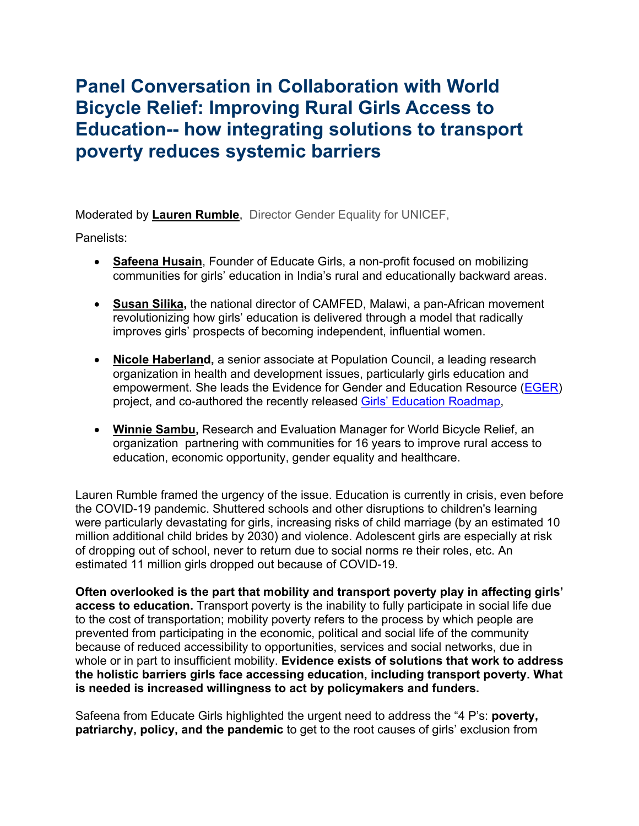## **Panel Conversation in Collaboration with World Bicycle Relief: Improving Rural Girls Access to Education-- how integrating solutions to transport poverty reduces systemic barriers**

Moderated by **Lauren Rumble**, Director Gender Equality for UNICEF,

Panelists:

- **Safeena Husain**, Founder of Educate Girls, a non-profit focused on mobilizing communities for girls' education in India's rural and educationally backward areas.
- **Susan Silika,** the national director of CAMFED, Malawi, a pan-African movement revolutionizing how girls' education is delivered through a model that radically improves girls' prospects of becoming independent, influential women.
- **Nicole Haberland,** a senior associate at Population Council, a leading research organization in health and development issues, particularly girls education and empowerment. She leads the Evidence for Gender and Education Resource (EGER) project, and co-authored the recently released Girls' Education Roadmap,
- **Winnie Sambu,** Research and Evaluation Manager for World Bicycle Relief, an organization partnering with communities for 16 years to improve rural access to education, economic opportunity, gender equality and healthcare.

Lauren Rumble framed the urgency of the issue. Education is currently in crisis, even before the COVID-19 pandemic. Shuttered schools and other disruptions to children's learning were particularly devastating for girls, increasing risks of child marriage (by an estimated 10 million additional child brides by 2030) and violence. Adolescent girls are especially at risk of dropping out of school, never to return due to social norms re their roles, etc. An estimated 11 million girls dropped out because of COVID-19.

**Often overlooked is the part that mobility and transport poverty play in affecting girls' access to education.** Transport poverty is the inability to fully participate in social life due to the cost of transportation; mobility poverty refers to the process by which people are prevented from participating in the economic, political and social life of the community because of reduced accessibility to opportunities, services and social networks, due in whole or in part to insufficient mobility. **Evidence exists of solutions that work to address the holistic barriers girls face accessing education, including transport poverty. What is needed is increased willingness to act by policymakers and funders.**

Safeena from Educate Girls highlighted the urgent need to address the "4 P's: **poverty, patriarchy, policy, and the pandemic** to get to the root causes of girls' exclusion from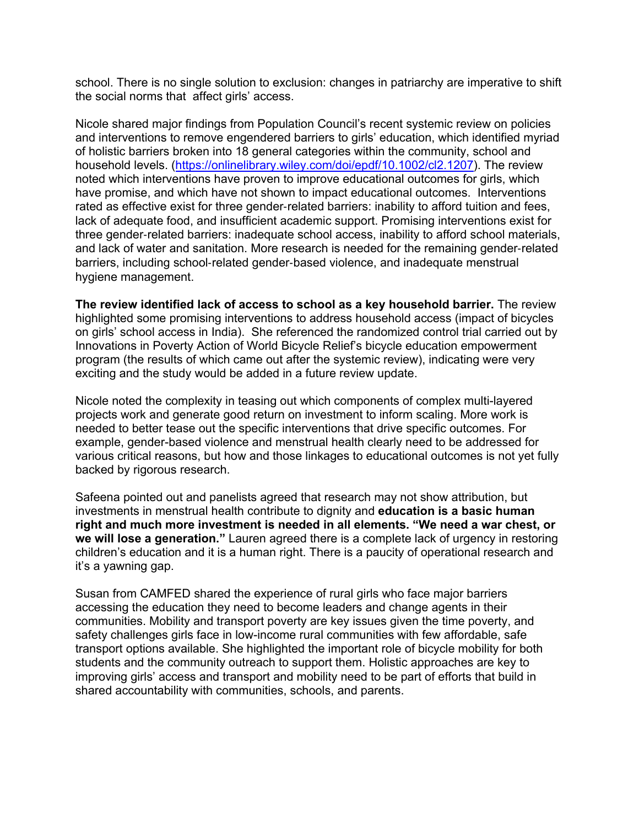school. There is no single solution to exclusion: changes in patriarchy are imperative to shift the social norms that affect girls' access.

Nicole shared major findings from Population Council's recent systemic review on policies and interventions to remove engendered barriers to girls' education, which identified myriad of holistic barriers broken into 18 general categories within the community, school and household levels. (https://onlinelibrary.wiley.com/doi/epdf/10.1002/cl2.1207). The review noted which interventions have proven to improve educational outcomes for girls, which have promise, and which have not shown to impact educational outcomes. Interventions rated as effective exist for three gender-related barriers: inability to afford tuition and fees, lack of adequate food, and insufficient academic support. Promising interventions exist for three gender-related barriers: inadequate school access, inability to afford school materials, and lack of water and sanitation. More research is needed for the remaining gender-related barriers, including school-related gender-based violence, and inadequate menstrual hygiene management.

**The review identified lack of access to school as a key household barrier.** The review highlighted some promising interventions to address household access (impact of bicycles on girls' school access in India). She referenced the randomized control trial carried out by Innovations in Poverty Action of World Bicycle Relief's bicycle education empowerment program (the results of which came out after the systemic review), indicating were very exciting and the study would be added in a future review update.

Nicole noted the complexity in teasing out which components of complex multi-layered projects work and generate good return on investment to inform scaling. More work is needed to better tease out the specific interventions that drive specific outcomes. For example, gender-based violence and menstrual health clearly need to be addressed for various critical reasons, but how and those linkages to educational outcomes is not yet fully backed by rigorous research.

Safeena pointed out and panelists agreed that research may not show attribution, but investments in menstrual health contribute to dignity and **education is a basic human right and much more investment is needed in all elements. "We need a war chest, or we will lose a generation."** Lauren agreed there is a complete lack of urgency in restoring children's education and it is a human right. There is a paucity of operational research and it's a yawning gap.

Susan from CAMFED shared the experience of rural girls who face major barriers accessing the education they need to become leaders and change agents in their communities. Mobility and transport poverty are key issues given the time poverty, and safety challenges girls face in low-income rural communities with few affordable, safe transport options available. She highlighted the important role of bicycle mobility for both students and the community outreach to support them. Holistic approaches are key to improving girls' access and transport and mobility need to be part of efforts that build in shared accountability with communities, schools, and parents.